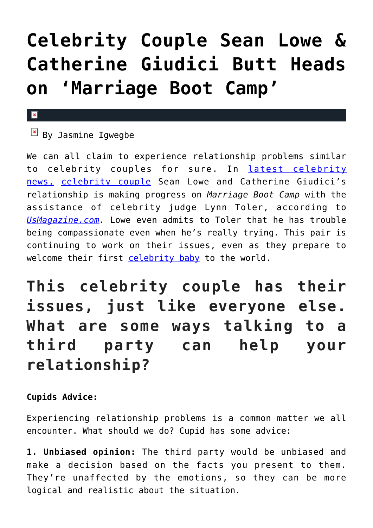## **[Celebrity Couple Sean Lowe &](https://cupidspulse.com/104286/celebrity-couple-catherine-giudici-sean-lowe-fight-marriage-boot-camp/) [Catherine Giudici Butt Heads](https://cupidspulse.com/104286/celebrity-couple-catherine-giudici-sean-lowe-fight-marriage-boot-camp/) [on 'Marriage Boot Camp'](https://cupidspulse.com/104286/celebrity-couple-catherine-giudici-sean-lowe-fight-marriage-boot-camp/)**

## $\mathbf{x}$

 $\overline{B}$  By Jasmine Igwegbe

We can all claim to experience relationship problems similar to celebrity couples for sure. In [latest celebrity](http://cupidspulse.com) [news,](http://cupidspulse.com) [celebrity couple](http://cupidspulse.com/celebrity-relationships/long-term-relationships-flings/) Sean Lowe and Catherine Giudici's relationship is making progress on *Marriage Boot Camp* with the assistance of celebrity judge Lynn Toler, according to *[UsMagazine.com.](http://www.usmagazine.com/entertainment/news/sean-lowe-catherine-giudici-butt-heads-her-voice-is-too-loud-watch-w161718)* Lowe even admits to Toler that he has trouble being compassionate even when he's really trying. This pair is continuing to work on their issues, even as they prepare to welcome their first [celebrity baby](http://cupidspulse.com/celebrity-relationships/celebrity-babies/ To enable screen reader support, press shortcut Ctrl+Alt+Z. To learn about keyboard shortcuts, press shortcut Ctrl+slash.) to the world.

**This celebrity couple has their issues, just like everyone else. What are some ways talking to a third party can help your relationship?**

**Cupids Advice:**

Experiencing relationship problems is a common matter we all encounter. What should we do? Cupid has some advice:

**1. Unbiased opinion:** The third party would be unbiased and make a decision based on the facts you present to them. They're unaffected by the emotions, so they can be more logical and realistic about the situation.